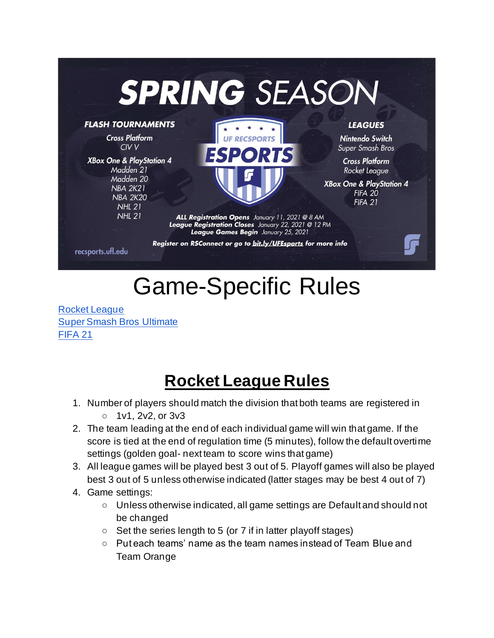

# Game-Specific Rules

[Rocket League](#page-0-0) [Super Smash Bros Ultimate](#page-2-0) [FIFA 21](#page-4-0)

## **Rocket League Rules**

- <span id="page-0-0"></span>1. Number of players should match the division that both teams are registered in  $\circ$  1v1, 2v2, or 3v3
- 2. The team leading at the end of each individual game will win that game. If the score is tied at the end of regulation time (5 minutes), follow the default overtime settings (golden goal- next team to score wins that game)
- 3. All league games will be played best 3 out of 5. Playoff games will also be played best 3 out of 5 unless otherwise indicated (latter stages may be best 4 out of 7)
- 4. Game settings:
	- Unless otherwise indicated, all game settings are Default and should not be changed
	- $\circ$  Set the series length to 5 (or 7 if in latter playoff stages)
	- $\circ$  Put each teams' name as the team names instead of Team Blue and Team Orange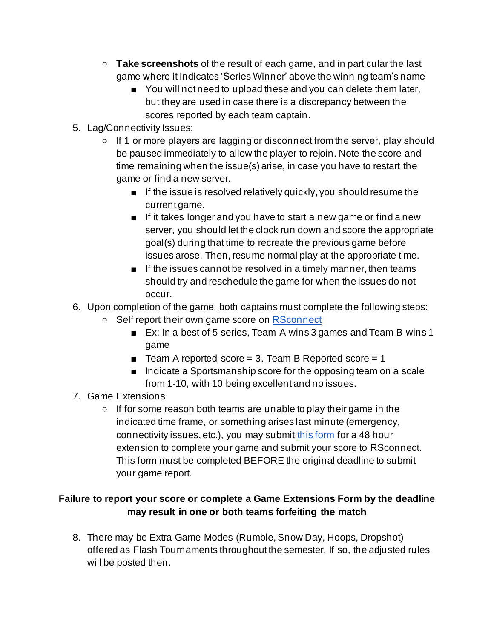- **Take screenshots** of the result of each game, and in particular the last game where it indicates 'Series Winner' above the winning team's name
	- You will not need to upload these and you can delete them later, but they are used in case there is a discrepancy between the scores reported by each team captain.
- 5. Lag/Connectivity Issues:
	- $\circ$  If 1 or more players are lagging or disconnect from the server, play should be paused immediately to allow the player to rejoin. Note the score and time remaining when the issue(s) arise, in case you have to restart the game or find a new server.
		- If the issue is resolved relatively quickly, you should resume the current game.
		- If it takes longer and you have to start a new game or find a new server, you should let the clock run down and score the appropriate goal(s) during that time to recreate the previous game before issues arose. Then, resume normal play at the appropriate time.
		- If the issues cannot be resolved in a timely manner, then teams should try and reschedule the game for when the issues do not occur.
- 6. Upon completion of the game, both captains must complete the following steps:
	- Self report their own game score on [RSconnect](https://rsconnect.recsports.ufl.edu/)
		- Ex: In a best of 5 series, Team A wins 3 games and Team B wins 1 game
		- $\blacksquare$  Team A reported score = 3. Team B Reported score = 1
		- Indicate a Sportsmanship score for the opposing team on a scale from 1-10, with 10 being excellent and no issues.
- 7. Game Extensions
	- $\circ$  If for some reason both teams are unable to play their game in the indicated time frame, or something arises last minute (emergency, connectivity issues, etc.), you may submit [this form](https://docs.google.com/forms/d/e/1FAIpQLScyAR5iBV4RsdL-UUrg0C5_9jU_aDQr3vaguWfaYFgL2GDebw/viewform?usp=sf_link) for a 48 hour extension to complete your game and submit your score to RSconnect. This form must be completed BEFORE the original deadline to submit your game report.

### **Failure to report your score or complete a Game Extensions Form by the deadline may result in one or both teams forfeiting the match**

8. There may be Extra Game Modes (Rumble, Snow Day, Hoops, Dropshot) offered as Flash Tournaments throughout the semester. If so, the adjusted rules will be posted then.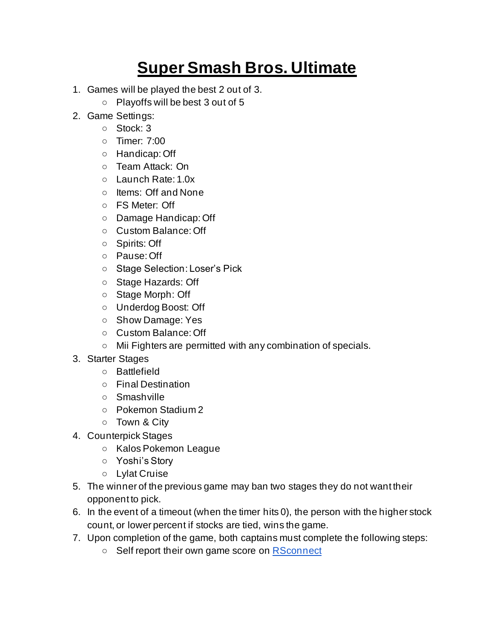# **Super Smash Bros. Ultimate**

- <span id="page-2-0"></span>1. Games will be played the best 2 out of 3.
	- Playoffs will be best 3 out of 5
- 2. Game Settings:
	- Stock: 3
	- Timer: 7:00
	- Handicap: Off
	- Team Attack: On
	- Launch Rate: 1.0x
	- Items: Off and None
	- FS Meter: Off
	- Damage Handicap: Off
	- Custom Balance: Off
	- Spirits: Off
	- Pause: Off
	- Stage Selection: Loser's Pick
	- Stage Hazards: Off
	- Stage Morph: Off
	- Underdog Boost: Off
	- Show Damage: Yes
	- Custom Balance: Off
	- Mii Fighters are permitted with any combination of specials.
- 3. Starter Stages
	- Battlefield
	- Final Destination
	- Smashville
	- Pokemon Stadium 2
	- Town & City
- 4. Counterpick Stages
	- Kalos Pokemon League
	- Yoshi's Story
	- Lylat Cruise
- 5. The winner of the previous game may ban two stages they do not want their opponent to pick.
- 6. In the event of a timeout (when the timer hits 0), the person with the higher stock count, or lower percent if stocks are tied, wins the game.
- 7. Upon completion of the game, both captains must complete the following steps:
	- Self report their own game score on [RSconnect](https://rsconnect.recsports.ufl.edu/)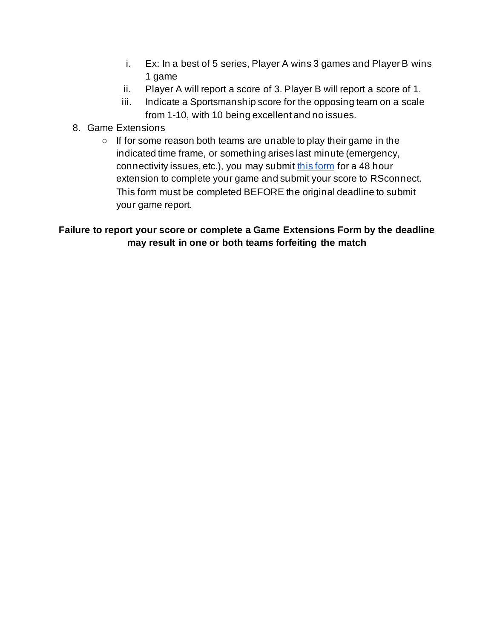- i. Ex: In a best of 5 series, Player A wins 3 games and Player B wins 1 game
- ii. Player A will report a score of 3. Player B will report a score of 1.
- iii. Indicate a Sportsmanship score for the opposing team on a scale from 1-10, with 10 being excellent and no issues.
- 8. Game Extensions
	- $\circ$  If for some reason both teams are unable to play their game in the indicated time frame, or something arises last minute (emergency, connectivity issues, etc.), you may submit [this form](https://docs.google.com/forms/d/e/1FAIpQLScyAR5iBV4RsdL-UUrg0C5_9jU_aDQr3vaguWfaYFgL2GDebw/viewform?usp=sf_link) for a 48 hour extension to complete your game and submit your score to RSconnect. This form must be completed BEFORE the original deadline to submit your game report.

### **Failure to report your score or complete a Game Extensions Form by the deadline may result in one or both teams forfeiting the match**